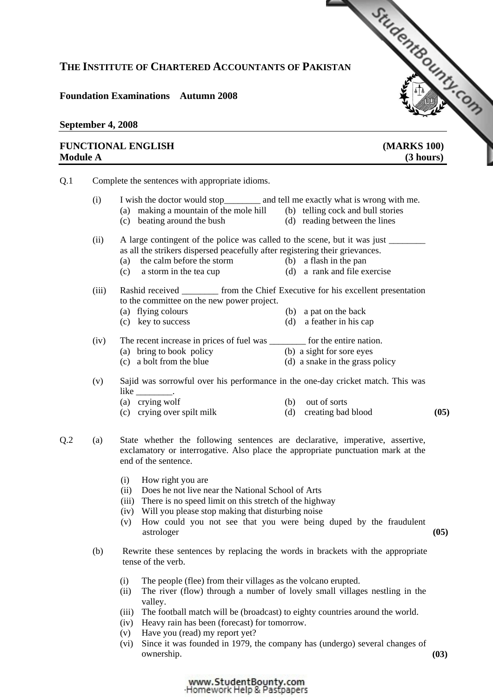## **THE INSTITUTE OF CHARTERED ACCOUNTANTS OF PAKISTAN**

## **Foundation Examinations Autumn 2008**

### **September 4, 2008**

## **FUNCTIONAL ENGLISH [\(MARKS 100\)](http://www.studentbounty.com)  Module A** (3 hours)

StudentBound Con

Q.1 Complete the sentences with appropriate idioms. (i) I wish the doctor would stop\_\_\_\_\_\_\_\_ and tell me exactly what is wrong with me. (a) making a mountain of the mole hill (b) telling cock and bull stories (c) beating around the bush (d) reading between the lines (ii) A large contingent of the police was called to the scene, but it was just as all the strikers dispersed peacefully after registering their grievances. (a) the calm before the storm (b) a flash in the pan (c) a storm in the tea cup (d) a rank and file exercise (iii) Rashid received \_\_\_\_\_\_\_\_ from the Chief Executive for his excellent presentation to the committee on the new power project. (a) flying colours (b) a pat on the back (c) key to success (d) a feather in his cap (iv) The recent increase in prices of fuel was \_\_\_\_\_\_\_\_ for the entire nation. (a) bring to book policy (b) a sight for sore eyes<br>
(c) a bolt from the blue (d) a snake in the grass policy (d) a snake in the grass policy (v) Sajid was sorrowful over his performance in the one-day cricket match. This was like \_\_\_\_\_\_\_\_\_. (a) crying wolf (b) out of sorts (c) crying over spilt milk (d) creating bad blood **(05)**Q.2 (a) State whether the following sentences are declarative, imperative, assertive, exclamatory or interrogative. Also place the appropriate punctuation mark at the end of the sentence. (i) How right you are (ii) Does he not live near the National School of Arts (iii) There is no speed limit on this stretch of the highway (iv) Will you please stop making that disturbing noise (v) How could you not see that you were being duped by the fraudulent astrologer **(05)** (b) Rewrite these sentences by replacing the words in brackets with the appropriate tense of the verb. (i) The people (flee) from their villages as the volcano erupted. (ii) The river (flow) through a number of lovely small villages nestling in the valley. (iii) The football match will be (broadcast) to eighty countries around the world. (iv) Heavy rain has been (forecast) for tomorrow. (v) Have you (read) my report yet? (vi) Since it was founded in 1979, the company has (undergo) several changes of ownership. **(03)**

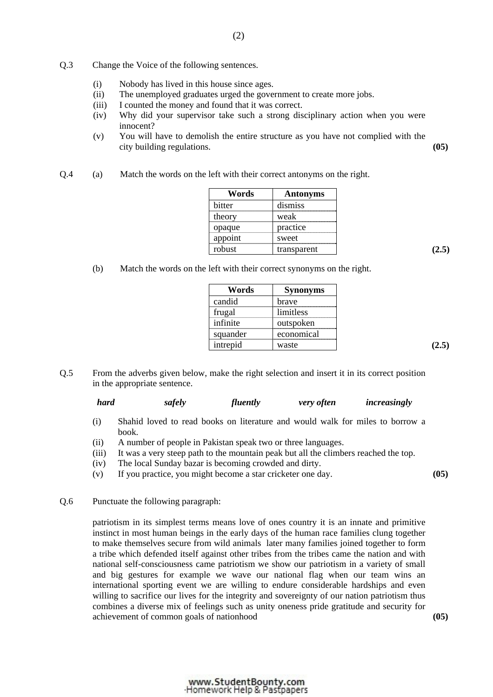- Q.3 Change the Voice of the following sentences.
	- (i) Nobody has lived in this house since ages.
	- (ii) The unemployed graduates urged the government to create more jobs.
	- (iii) I counted the money and found that it was correct.
	- (iv) Why did your supervisor take such a strong disciplinary action when you were innocent?
	- (v) You will have to demolish the entire structure as you have not complied with the city building regulations. **(05)**
- Q.4 (a) Match the words on the left with their correct antonyms on the right.

| Words   | <b>Antonyms</b> |
|---------|-----------------|
| bitter  | dismiss         |
| theory  | weak            |
| opaque  | practice        |
| appoint | sweet           |
| robust  | transparent     |

(b) Match the words on the left with their correct synonyms on the right.

| Words    | Synonyms   |
|----------|------------|
| candid   | brave      |
| frugal   | limitless  |
| infinite | outspoken  |
| squander | economical |
| intrepid | waste      |

Q.5 From the adverbs given below, make the right selection and insert it in its correct position in the appropriate sentence.

| hard | safely | <i>fluently</i> | <i>very often</i> | increasingly |
|------|--------|-----------------|-------------------|--------------|
|      |        |                 |                   |              |

- (i) Shahid loved to read books on literature and would walk for miles to borrow a book.
- (ii) A number of people in Pakistan speak two or three languages.
- (iii) It was a very steep path to the mountain peak but all the climbers reached the top.
- (iv) The local Sunday bazar is becoming crowded and dirty.
- (v) If you practice, you might become a star cricketer one day. **(05)**
- Q.6 Punctuate the following paragraph:

patriotism in its simplest terms means love of ones country it is an innate and primitive instinct in most human beings in the early days of the human race families clung together to make themselves secure from wild animals later many families joined together to form a tribe which defended itself against other tribes from the tribes came the nation and with national self-consciousness came patriotism we show our patriotism in a variety of small and big gestures for example we wave our national flag when our team wins an international sporting event we are willing to endure considerable hardships and even willing to sacrifice our lives for the integrity and sovereignty of our nation patriotism thus combines a diverse mix of feelings such as unity oneness pride gratitude and security for achievement of common goals of nationhood **(05)**

www.StudentBounty.com Homework Help & Pastpapers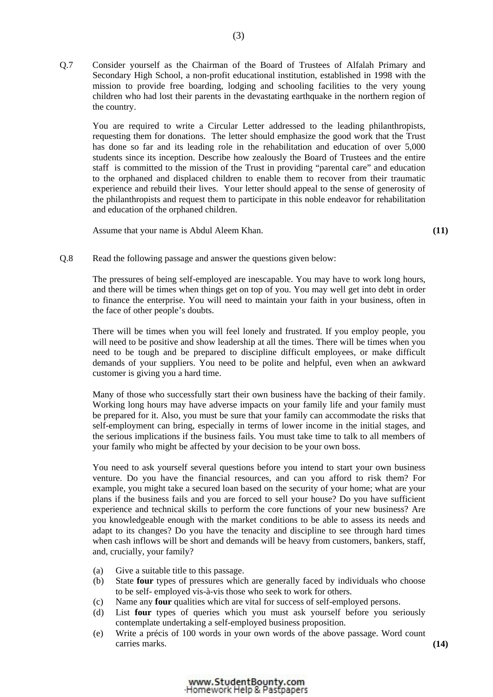Q.7 Consider yourself as the Chairman of the Board of Trustees of Alfalah Primary and Secondary High School, a non-profit educational institution, established in 1998 with the mission to provide free boarding, lodging and schooling facilities to the very young children who had lost their parents in the devastating earthquake in the northern region of the country.

 You are required to write a Circular Letter addressed to the leading philanthropists, requesting them for donations. The letter should emphasize the good work that the Trust has done so far and its leading role in the rehabilitation and education of over 5,000 students since its inception. Describe how zealously the Board of Trustees and the entire staff is committed to the mission of the Trust in providing "parental care" and education to the orphaned and displaced children to enable them to recover from their traumatic experience and rebuild their lives. Your letter should appeal to the sense of generosity of the philanthropists and request them to participate in this noble endeavor for rehabilitation and education of the orphaned children.

Assume that your name is Abdul Aleem Khan. **(11)**

#### Q.8 Read the following passage and answer the questions given below:

The pressures of being self-employed are inescapable. You may have to work long hours, and there will be times when things get on top of you. You may well get into debt in order to finance the enterprise. You will need to maintain your faith in your business, often in the face of other people's doubts.

There will be times when you will feel lonely and frustrated. If you employ people, you will need to be positive and show leadership at all the times. There will be times when you need to be tough and be prepared to discipline difficult employees, or make difficult demands of your suppliers. You need to be polite and helpful, even when an awkward customer is giving you a hard time.

Many of those who successfully start their own business have the backing of their family. Working long hours may have adverse impacts on your family life and your family must be prepared for it. Also, you must be sure that your family can accommodate the risks that self-employment can bring, especially in terms of lower income in the initial stages, and the serious implications if the business fails. You must take time to talk to all members of your family who might be affected by your decision to be your own boss.

You need to ask yourself several questions before you intend to start your own business venture. Do you have the financial resources, and can you afford to risk them? For example, you might take a secured loan based on the security of your home; what are your plans if the business fails and you are forced to sell your house? Do you have sufficient experience and technical skills to perform the core functions of your new business? Are you knowledgeable enough with the market conditions to be able to assess its needs and adapt to its changes? Do you have the tenacity and discipline to see through hard times when cash inflows will be short and demands will be heavy from customers, bankers, staff, and, crucially, your family?

- (a) Give a suitable title to this passage.
- (b) State **four** types of pressures which are generally faced by individuals who choose to be self- employed vis-à-vis those who seek to work for others.
- (c) Name any **four** qualities which are vital for success of self-employed persons.
- (d) List **four** types of queries which you must ask yourself before you seriously contemplate undertaking a self-employed business proposition.
- (e) Write a précis of 100 words in your own words of the above passage. Word count carries marks. **(14)**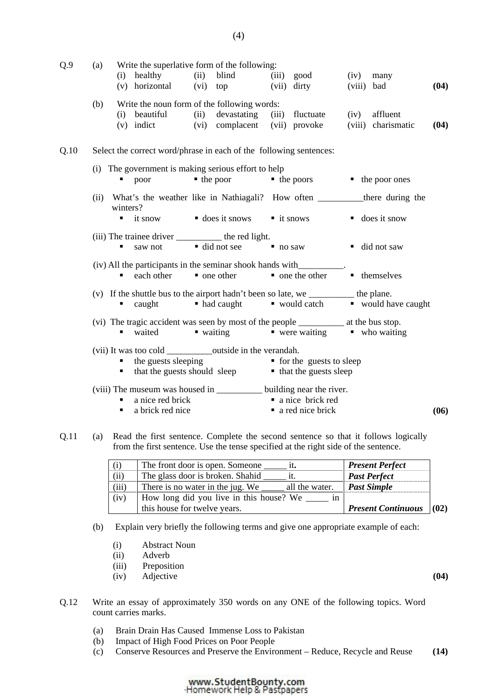| Q.9  | (a)                                                                                                      |                                                                    | Write the superlative form of the following:<br>(i) healthy (ii) blind<br>(v) horizontal (vi) top                                                                                                           |      |                                              |                       | (iii) good<br>(vii) dirty            |                | $(iv)$ many<br>(viii) bad    | (04) |
|------|----------------------------------------------------------------------------------------------------------|--------------------------------------------------------------------|-------------------------------------------------------------------------------------------------------------------------------------------------------------------------------------------------------------|------|----------------------------------------------|-----------------------|--------------------------------------|----------------|------------------------------|------|
|      | (b)                                                                                                      |                                                                    | Write the noun form of the following words:<br>(i) beautiful<br>$(v)$ indict                                                                                                                                | (ii) | devastating<br>(vi) complacent (vii) provoke |                       | (iii) fluctuate                      | (iv)<br>(viii) | affluent<br>charismatic      | (04) |
| Q.10 |                                                                                                          | Select the correct word/phrase in each of the following sentences: |                                                                                                                                                                                                             |      |                                              |                       |                                      |                |                              |      |
|      |                                                                                                          | . .                                                                | (i) The government is making serious effort to help<br>poor                                                                                                                                                 |      | $\blacksquare$ the poor                      |                       | $\blacksquare$ the poors             |                | $\blacksquare$ the poor ones |      |
|      | (ii)                                                                                                     | winters?                                                           |                                                                                                                                                                                                             |      |                                              |                       |                                      |                |                              |      |
|      |                                                                                                          | ٠                                                                  | it snow                                                                                                                                                                                                     |      | $\blacksquare$ does it snows                 |                       | $\blacksquare$ it snows              |                | $\blacksquare$ does it snow  |      |
|      |                                                                                                          | ٠                                                                  | (iii) The trainee driver ____________ the red light.<br>saw not                                                                                                                                             |      | $\blacksquare$ did not see                   | $\blacksquare$ no saw |                                      |                | ■ did not saw                |      |
|      | (iv) All the participants in the seminar shook hands with<br>each other<br>$\blacksquare$ one other<br>٠ |                                                                    |                                                                                                                                                                                                             |      |                                              |                       | $\blacksquare$ one the other         |                | • themselves                 |      |
|      |                                                                                                          |                                                                    | (v) If the shuttle bus to the airport hadn't been so late, we ____________ the plane.<br>$\blacksquare$ caught                                                                                              |      | • had caught • would catch                   |                       |                                      |                | ■ would have caught          |      |
|      |                                                                                                          | ٠                                                                  | (vi) The tragic accident was seen by most of the people ______________ at the bus stop.<br>waited                                                                                                           |      | $\blacksquare$ waiting                       |                       | vere waiting vho waiting             |                |                              |      |
|      |                                                                                                          | ٠                                                                  | (vii) It was too cold ______________outside in the verandah.<br>the guests sleeping <b>for the guests to sleep</b> for the guests to sleep<br>that the guests should sleep <b>for that the guests sleep</b> |      |                                              |                       |                                      |                |                              |      |
|      |                                                                                                          | ٠                                                                  | (viii) The museum was housed in ____________ building near the river.<br>a nice red brick<br>a brick red nice                                                                                               |      |                                              |                       | a nice brick red<br>a red nice brick |                |                              | (06) |

Q.11 (a) Read the first sentence. Complete the second sentence so that it follows logically from the first sentence. Use the tense specified at the right side of the sentence.

| (i)   | The front door is open. Someone                    | <b>Present Perfect</b>    |      |
|-------|----------------------------------------------------|---------------------------|------|
| (ii)  | The glass door is broken. Shahid                   | <b>Past Perfect</b>       |      |
| (iii) | There is no water in the jug. We<br>all the water. | <b>Past Simple</b>        |      |
| (iv)  | How long did you live in this house? We            |                           |      |
|       | this house for twelve years.                       | <b>Present Continuous</b> | (02) |

(b) Explain very briefly the following terms and give one appropriate example of each:

- (i) Abstract Noun
- (ii) Adverb
- (iii) Preposition
- (iv) Adjective **(04)**
- 
- Q.12 Write an essay of approximately 350 words on any ONE of the following topics. Word count carries marks.
	- (a) Brain Drain Has Caused Immense Loss to Pakistan
	- (b) Impact of High Food Prices on Poor People
	- (c) Conserve Resources and Preserve the Environment Reduce, Recycle and Reuse **(14)**

# www.StudentBounty.com<br>Homework Help & Pastpapers